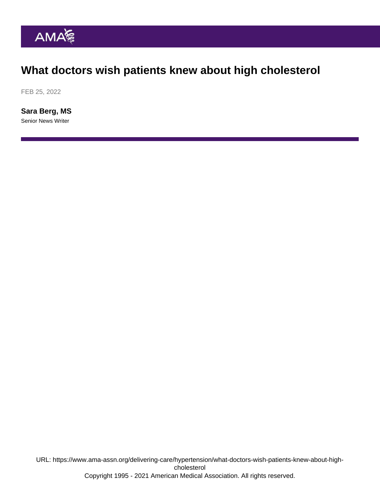## What doctors wish patients knew about high cholesterol

FEB 25, 2022

[Sara Berg, MS](https://www.ama-assn.org/news-leadership-viewpoints/authors-news-leadership-viewpoints/sara-berg-ms) Senior News Writer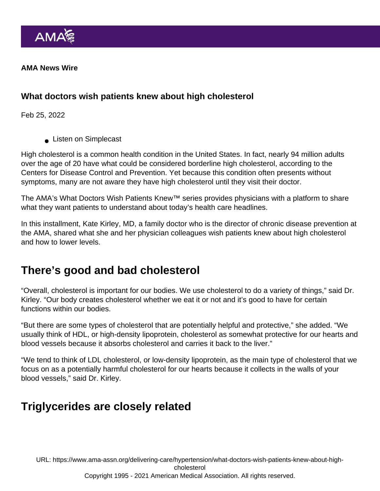AMA News Wire

What doctors wish patients knew about high cholesterol

Feb 25, 2022

**Listen on Simplecast** 

High cholesterol is a common health condition in the United States. In fact, nearly 94 million adults over the age of 20 have what could be considered borderline high cholesterol, according to the Centers for Disease Control and Prevention. Yet because this condition often presents without symptoms, many are not aware they have high cholesterol until they visit their doctor.

The AMA's [What Doctors Wish Patients Knew™](https://www.ama-assn.org/series/what-doctors-wish-patients-knew) series provides physicians with a platform to share what they want patients to understand about today's health care headlines.

In this installment, Kate Kirley, MD, a family doctor who is the director of chronic disease prevention at the AMA, shared what she and her physician colleagues wish patients knew about high cholesterol and how to lower levels.

#### There's good and bad cholesterol

"Overall, cholesterol is important for our bodies. We use cholesterol to do a variety of things," said Dr. Kirley. "Our body creates cholesterol whether we eat it or not and it's good to have for certain functions within our bodies.

"But there are some types of cholesterol that are potentially helpful and protective," she added. "We usually think of HDL, or high-density lipoprotein, cholesterol as somewhat protective for our hearts and blood vessels because it absorbs cholesterol and carries it back to the liver."

"We tend to think of LDL cholesterol, or low-density lipoprotein, as the main type of cholesterol that we focus on as a potentially harmful cholesterol for our hearts because it collects in the walls of your blood vessels," said Dr. Kirley.

# Triglycerides are closely related

URL: [https://www.ama-assn.org/delivering-care/hypertension/what-doctors-wish-patients-knew-about-high](https://www.ama-assn.org/delivering-care/hypertension/what-doctors-wish-patients-knew-about-high-cholesterol)[cholesterol](https://www.ama-assn.org/delivering-care/hypertension/what-doctors-wish-patients-knew-about-high-cholesterol)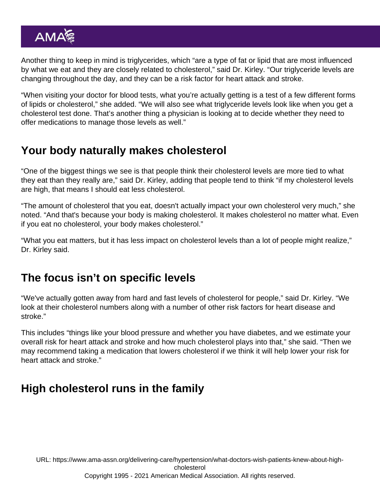Another thing to keep in mind is triglycerides, which "are a type of fat or lipid that are most influenced by what we eat and they are closely related to cholesterol," said Dr. Kirley. "Our triglyceride levels are changing throughout the day, and they can be a risk factor for heart attack and stroke.

"When visiting your doctor for blood tests, what you're actually getting is a test of a few different forms of lipids or cholesterol," she added. "We will also see what triglyceride levels look like when you get a cholesterol test done. That's another thing a physician is looking at to decide whether they need to offer medications to manage those levels as well."

# Your body naturally makes cholesterol

"One of the biggest things we see is that people think their cholesterol levels are more tied to what they eat than they really are," said Dr. Kirley, adding that people tend to think "if my cholesterol levels are high, that means I should eat less cholesterol.

"The amount of cholesterol that you eat, doesn't actually impact your own cholesterol very much," she noted. "And that's because your body is making cholesterol. It makes cholesterol no matter what. Even if you eat no cholesterol, your body makes cholesterol."

"What you eat matters, but it has less impact on cholesterol levels than a lot of people might realize," Dr. Kirley said.

# The focus isn't on specific levels

"We've actually gotten away from hard and fast levels of cholesterol for people," said Dr. Kirley. "We look at their cholesterol numbers along with a number of other risk factors for heart disease and stroke."

This includes "things like your blood pressure and whether you have diabetes, and we estimate your overall risk for heart attack and stroke and how much cholesterol plays into that," she said. "Then we may recommend taking a medication that lowers cholesterol if we think it will help lower your risk for heart attack and stroke."

# High cholesterol runs in the family

URL: [https://www.ama-assn.org/delivering-care/hypertension/what-doctors-wish-patients-knew-about-high](https://www.ama-assn.org/delivering-care/hypertension/what-doctors-wish-patients-knew-about-high-cholesterol)[cholesterol](https://www.ama-assn.org/delivering-care/hypertension/what-doctors-wish-patients-knew-about-high-cholesterol)

#### Copyright 1995 - 2021 American Medical Association. All rights reserved.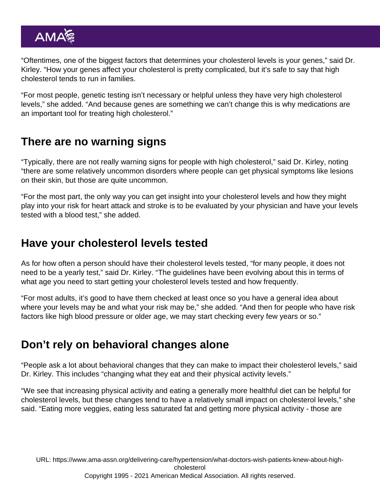"Oftentimes, one of the biggest factors that determines your cholesterol levels is your genes," said Dr. Kirley. "How your genes affect your cholesterol is pretty complicated, but it's safe to say that high cholesterol tends to run in families.

"For most people, genetic testing isn't necessary or helpful unless they have very high cholesterol levels," she added. "And because genes are something we can't change this is why medications are an important tool for treating high cholesterol."

## There are no warning signs

"Typically, there are not really warning signs for people with high cholesterol," said Dr. Kirley, noting "there are some relatively uncommon disorders where people can get physical symptoms like lesions on their skin, but those are quite uncommon.

"For the most part, the only way you can get insight into your cholesterol levels and how they might play into your risk for heart attack and stroke is to be evaluated by your physician and have your levels tested with a blood test," she added.

# Have your cholesterol levels tested

As for how often a person should have their cholesterol levels tested, "for many people, it does not need to be a yearly test," said Dr. Kirley. "The guidelines have been evolving about this in terms of what age you need to start getting your cholesterol levels tested and how frequently.

"For most adults, it's good to have them checked at least once so you have a general idea about where your levels may be and what your risk may be," she added. "And then for people who have risk factors like high blood pressure or older age, we may start checking every few years or so."

# Don't rely on behavioral changes alone

"People ask a lot about behavioral changes that they can make to impact their cholesterol levels," said Dr. Kirley. This includes "changing what they eat and their physical activity levels."

"We see that increasing physical activity and eating a generally more healthful diet can be helpful for cholesterol levels, but these changes tend to have a relatively small impact on cholesterol levels," she said. "Eating more veggies, eating less saturated fat and getting more physical activity - those are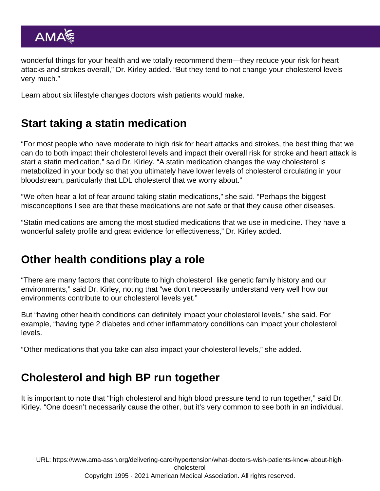wonderful things for your health and we totally recommend them—they reduce your risk for heart attacks and strokes overall," Dr. Kirley added. "But they tend to not change your cholesterol levels very much."

Learn about [six lifestyle changes doctors wish patients would make.](https://www.ama-assn.org/delivering-care/public-health/6-lifestyle-changes-doctors-wish-patients-would-make)

# Start taking a statin medication

"For most people who have moderate to high risk for heart attacks and strokes, the best thing that we can do to both impact their cholesterol levels and impact their overall risk for stroke and heart attack is start a statin medication," said Dr. Kirley. "A statin medication changes the way cholesterol is metabolized in your body so that you ultimately have lower levels of cholesterol circulating in your bloodstream, particularly that LDL cholesterol that we worry about."

"We often hear a lot of fear around taking statin medications," she said. "Perhaps the biggest misconceptions I see are that these medications are not safe or that they cause other diseases.

"Statin medications are among the most studied medications that we use in medicine. They have a wonderful safety profile and great evidence for effectiveness," Dr. Kirley added.

#### Other health conditions play a role

"There are many factors that contribute to high cholesterol like genetic family history and our environments," said Dr. Kirley, noting that "we don't necessarily understand very well how our environments contribute to our cholesterol levels yet."

But "having other health conditions can definitely impact your cholesterol levels," she said. For example, "having type 2 diabetes and other inflammatory conditions can impact your cholesterol levels.

"Other medications that you take can also impact your cholesterol levels," she added.

# Cholesterol and high BP run together

It is important to note that "high cholesterol and high blood pressure tend to run together," said Dr. Kirley. "One doesn't necessarily cause the other, but it's very common to see both in an individual.